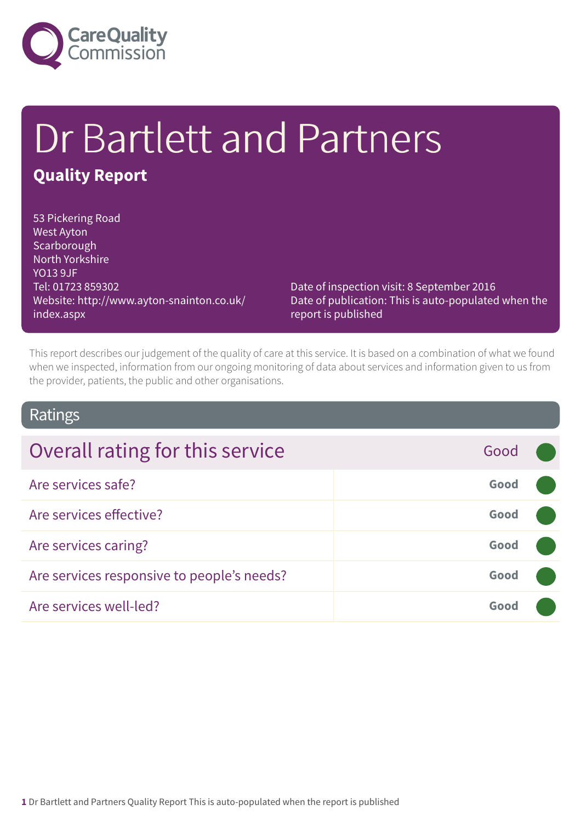

# Dr Bartlett and Partners **Quality Report**

53 Pickering Road West Ayton **Scarborough** North Yorkshire YO13 9JF Tel: 01723 859302 Website: http://www.ayton-snainton.co.uk/ index.aspx

Date of inspection visit: 8 September 2016 Date of publication: This is auto-populated when the report is published

This report describes our judgement of the quality of care at this service. It is based on a combination of what we found when we inspected, information from our ongoing monitoring of data about services and information given to us from the provider, patients, the public and other organisations.

### Ratings

| Overall rating for this service            | Good |  |
|--------------------------------------------|------|--|
| Are services safe?                         | Good |  |
| Are services effective?                    | Good |  |
| Are services caring?                       | Good |  |
| Are services responsive to people's needs? | Good |  |
| Are services well-led?                     | Good |  |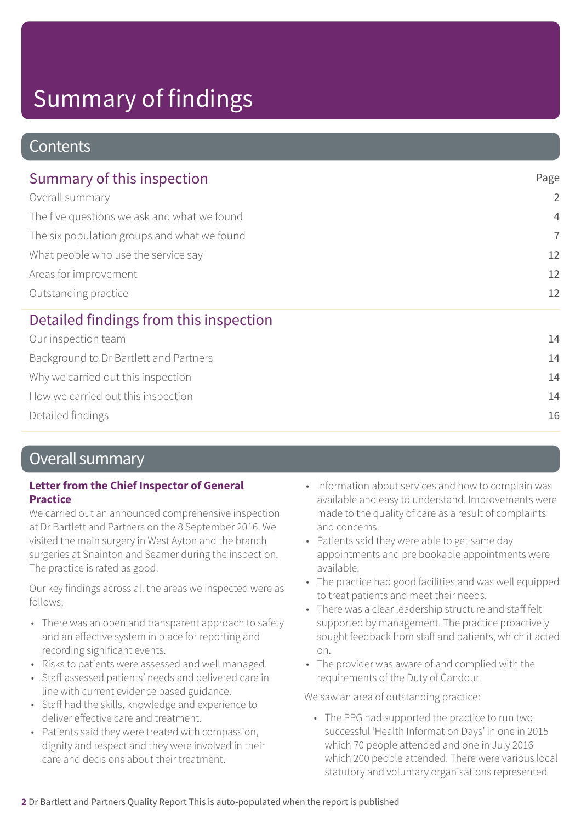### **Contents**

| Summary of this inspection                                                                                                                                                    | Page           |  |
|-------------------------------------------------------------------------------------------------------------------------------------------------------------------------------|----------------|--|
| Overall summary<br>The five questions we ask and what we found<br>The six population groups and what we found<br>What people who use the service say<br>Areas for improvement | $\overline{2}$ |  |
|                                                                                                                                                                               | $\overline{4}$ |  |
|                                                                                                                                                                               | $\overline{7}$ |  |
|                                                                                                                                                                               | 12             |  |
|                                                                                                                                                                               | 12             |  |
| Outstanding practice                                                                                                                                                          | 12             |  |
| Detailed findings from this inspection                                                                                                                                        |                |  |
| Our inspection team                                                                                                                                                           | 14             |  |
| Background to Dr Bartlett and Partners                                                                                                                                        | 14             |  |
| Why we carried out this inspection                                                                                                                                            | 14             |  |

How we carried out this inspection and the set of the set of the set of the set of the set of the set of the set of the set of the set of the set of the set of the set of the set of the set of the set of the set of the set

Detailed findings 16

### Overall summary

### **Letter from the Chief Inspector of General Practice**

We carried out an announced comprehensive inspection at Dr Bartlett and Partners on the 8 September 2016. We visited the main surgery in West Ayton and the branch surgeries at Snainton and Seamer during the inspection. The practice is rated as good.

Our key findings across all the areas we inspected were as follows;

- There was an open and transparent approach to safety and an effective system in place for reporting and recording significant events.
- Risks to patients were assessed and well managed.
- Staff assessed patients' needs and delivered care in line with current evidence based guidance.
- Staff had the skills, knowledge and experience to deliver effective care and treatment.
- Patients said they were treated with compassion, dignity and respect and they were involved in their care and decisions about their treatment.
- Information about services and how to complain was available and easy to understand. Improvements were made to the quality of care as a result of complaints and concerns.
- Patients said they were able to get same day appointments and pre bookable appointments were available.
- The practice had good facilities and was well equipped to treat patients and meet their needs.
- There was a clear leadership structure and staff felt supported by management. The practice proactively sought feedback from staff and patients, which it acted on.
- The provider was aware of and complied with the requirements of the Duty of Candour.

We saw an area of outstanding practice:

• The PPG had supported the practice to run two successful 'Health Information Days' in one in 2015 which 70 people attended and one in July 2016 which 200 people attended. There were various local statutory and voluntary organisations represented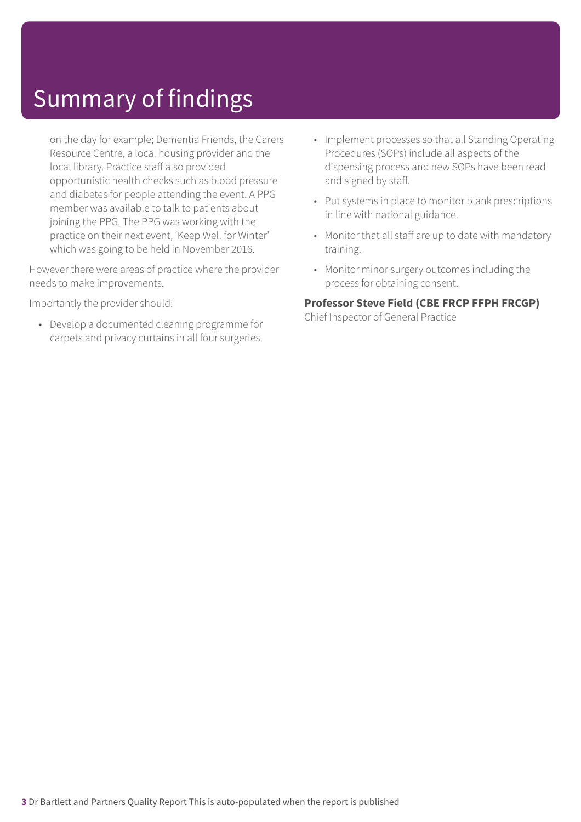on the day for example; Dementia Friends, the Carers Resource Centre, a local housing provider and the local library. Practice staff also provided opportunistic health checks such as blood pressure and diabetes for people attending the event. A PPG member was available to talk to patients about joining the PPG. The PPG was working with the practice on their next event, 'Keep Well for Winter' which was going to be held in November 2016.

However there were areas of practice where the provider needs to make improvements.

Importantly the provider should:

• Develop a documented cleaning programme for carpets and privacy curtains in all four surgeries.

- Implement processes so that all Standing Operating Procedures (SOPs) include all aspects of the dispensing process and new SOPs have been read and signed by staff.
- Put systems in place to monitor blank prescriptions in line with national guidance.
- Monitor that all staff are up to date with mandatory training.
- Monitor minor surgery outcomes including the process for obtaining consent.

#### **Professor Steve Field (CBE FRCP FFPH FRCGP)**

Chief Inspector of General Practice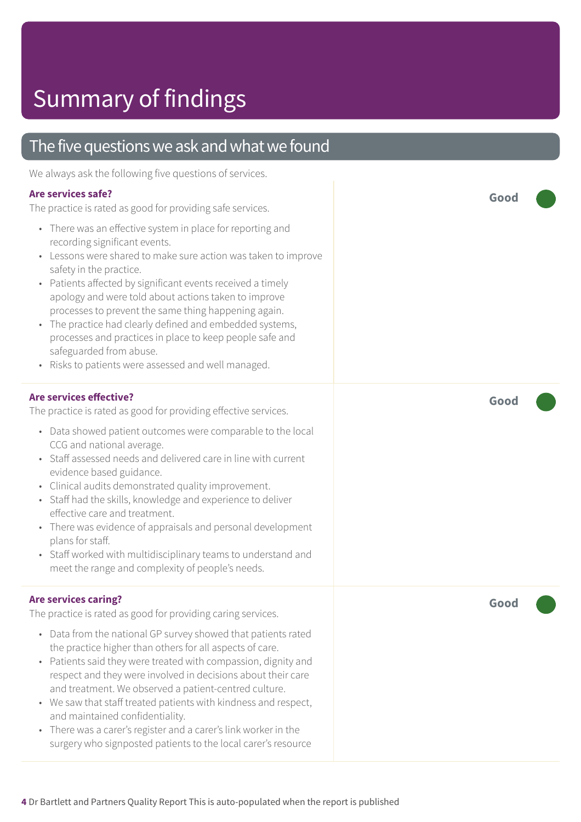### The five questions we ask and what we found

We always ask the following five questions of services.

#### **Are services safe?**

The practice is rated as good for providing safe services.

- There was an effective system in place for reporting and recording significant events.
- Lessons were shared to make sure action was taken to improve safety in the practice.
- Patients affected by significant events received a timely apology and were told about actions taken to improve processes to prevent the same thing happening again.
- The practice had clearly defined and embedded systems, processes and practices in place to keep people safe and safeguarded from abuse.
- Risks to patients were assessed and well managed.

#### **Are services effective?**

The practice is rated as good for providing effective services.

- Data showed patient outcomes were comparable to the local CCG and national average.
- Staff assessed needs and delivered care in line with current evidence based guidance.
- Clinical audits demonstrated quality improvement.
- Staff had the skills, knowledge and experience to deliver effective care and treatment.
- There was evidence of appraisals and personal development plans for staff.
- Staff worked with multidisciplinary teams to understand and meet the range and complexity of people's needs.

#### **Are services caring?**

The practice is rated as good for providing caring services.

- Data from the national GP survey showed that patients rated the practice higher than others for all aspects of care.
- Patients said they were treated with compassion, dignity and respect and they were involved in decisions about their care and treatment. We observed a patient-centred culture.
- We saw that staff treated patients with kindness and respect, and maintained confidentiality.
- There was a carer's register and a carer's link worker in the surgery who signposted patients to the local carer's resource

**Good –––**

**Good –––**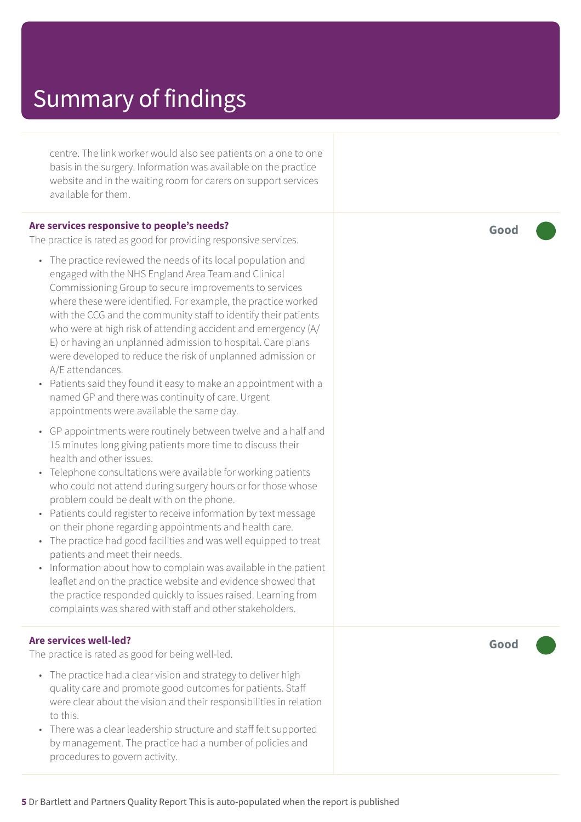centre. The link worker would also see patients on a one to one basis in the surgery. Information was available on the practice website and in the waiting room for carers on support services available for them.

#### **Are services responsive to people's needs?**

The practice is rated as good for providing responsive services.

- The practice reviewed the needs of its local population and engaged with the NHS England Area Team and Clinical Commissioning Group to secure improvements to services where these were identified. For example, the practice worked with the CCG and the community staff to identify their patients who were at high risk of attending accident and emergency (A/ E) or having an unplanned admission to hospital. Care plans were developed to reduce the risk of unplanned admission or A/E attendances.
- Patients said they found it easy to make an appointment with a named GP and there was continuity of care. Urgent appointments were available the same day.
- GP appointments were routinely between twelve and a half and 15 minutes long giving patients more time to discuss their health and other issues.
- Telephone consultations were available for working patients who could not attend during surgery hours or for those whose problem could be dealt with on the phone.
- Patients could register to receive information by text message on their phone regarding appointments and health care.
- The practice had good facilities and was well equipped to treat patients and meet their needs.
- Information about how to complain was available in the patient leaflet and on the practice website and evidence showed that the practice responded quickly to issues raised. Learning from complaints was shared with staff and other stakeholders.

#### **Are services well-led?**

The practice is rated as good for being well-led.

- The practice had a clear vision and strategy to deliver high quality care and promote good outcomes for patients. Staff were clear about the vision and their responsibilities in relation to this.
- There was a clear leadership structure and staff felt supported by management. The practice had a number of policies and procedures to govern activity.

**Good –––**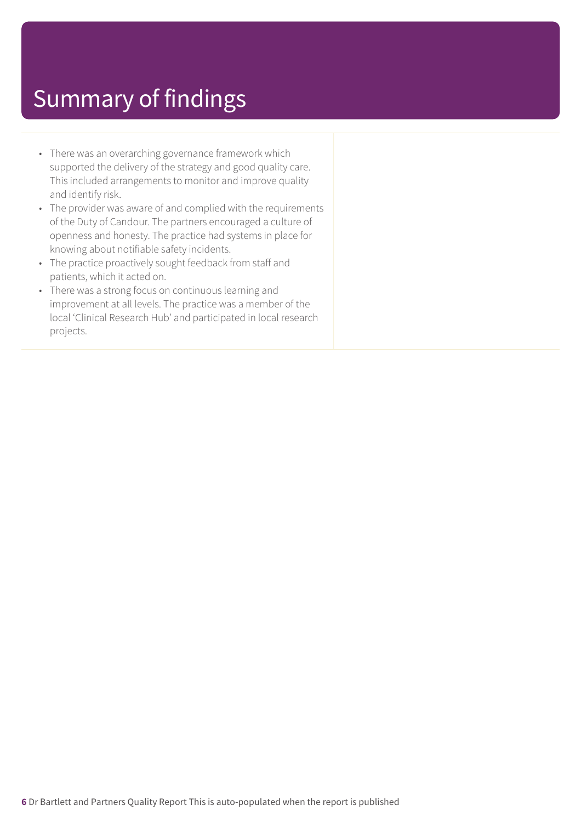- There was an overarching governance framework which supported the delivery of the strategy and good quality care. This included arrangements to monitor and improve quality and identify risk.
- The provider was aware of and complied with the requirements of the Duty of Candour. The partners encouraged a culture of openness and honesty. The practice had systems in place for knowing about notifiable safety incidents.
- The practice proactively sought feedback from staff and patients, which it acted on.
- There was a strong focus on continuous learning and improvement at all levels. The practice was a member of the local 'Clinical Research Hub' and participated in local research projects.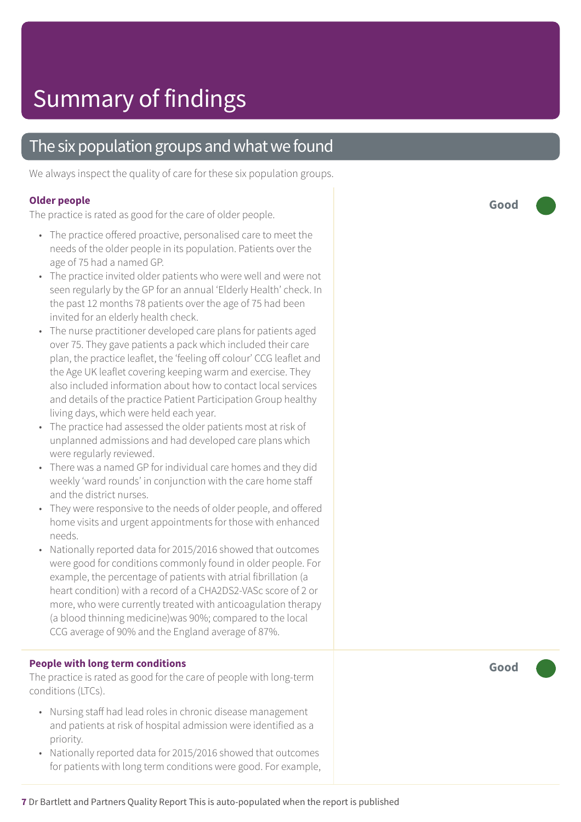### The six population groups and what we found

We always inspect the quality of care for these six population groups.

#### **Older people**

The practice is rated as good for the care of older people.

- The practice offered proactive, personalised care to meet the needs of the older people in its population. Patients over the age of 75 had a named GP.
- The practice invited older patients who were well and were not seen regularly by the GP for an annual 'Elderly Health' check. In the past 12 months 78 patients over the age of 75 had been invited for an elderly health check.
- The nurse practitioner developed care plans for patients aged over 75. They gave patients a pack which included their care plan, the practice leaflet, the 'feeling off colour' CCG leaflet and the Age UK leaflet covering keeping warm and exercise. They also included information about how to contact local services and details of the practice Patient Participation Group healthy living days, which were held each year.
- The practice had assessed the older patients most at risk of unplanned admissions and had developed care plans which were regularly reviewed.
- There was a named GP for individual care homes and they did weekly 'ward rounds' in conjunction with the care home staff and the district nurses.
- They were responsive to the needs of older people, and offered home visits and urgent appointments for those with enhanced needs.
- Nationally reported data for 2015/2016 showed that outcomes were good for conditions commonly found in older people. For example, the percentage of patients with atrial fibrillation (a heart condition) with a record of a CHA2DS2-VASc score of 2 or more, who were currently treated with anticoagulation therapy (a blood thinning medicine)was 90%; compared to the local CCG average of 90% and the England average of 87%.

#### **People with long term conditions**

The practice is rated as good for the care of people with long-term conditions (LTCs).

- Nursing staff had lead roles in chronic disease management and patients at risk of hospital admission were identified as a priority.
- Nationally reported data for 2015/2016 showed that outcomes for patients with long term conditions were good. For example,

**Good –––**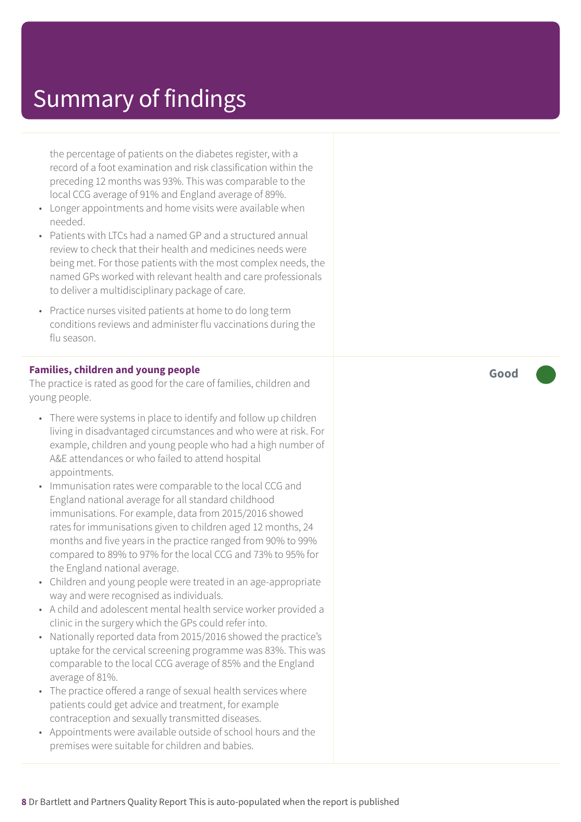the percentage of patients on the diabetes register, with a record of a foot examination and risk classification within the preceding 12 months was 93%. This was comparable to the local CCG average of 91% and England average of 89%.

- Longer appointments and home visits were available when needed.
- Patients with LTCs had a named GP and a structured annual review to check that their health and medicines needs were being met. For those patients with the most complex needs, the named GPs worked with relevant health and care professionals to deliver a multidisciplinary package of care.
- Practice nurses visited patients at home to do long term conditions reviews and administer flu vaccinations during the flu season.

#### **Families, children and young people**

The practice is rated as good for the care of families, children and young people.

- There were systems in place to identify and follow up children living in disadvantaged circumstances and who were at risk. For example, children and young people who had a high number of A&E attendances or who failed to attend hospital appointments.
- Immunisation rates were comparable to the local CCG and England national average for all standard childhood immunisations. For example, data from 2015/2016 showed rates for immunisations given to children aged 12 months, 24 months and five years in the practice ranged from 90% to 99% compared to 89% to 97% for the local CCG and 73% to 95% for the England national average.
- Children and young people were treated in an age-appropriate way and were recognised as individuals.
- A child and adolescent mental health service worker provided a clinic in the surgery which the GPs could refer into.
- Nationally reported data from 2015/2016 showed the practice's uptake for the cervical screening programme was 83%. This was comparable to the local CCG average of 85% and the England average of 81%.
- The practice offered a range of sexual health services where patients could get advice and treatment, for example contraception and sexually transmitted diseases.
- Appointments were available outside of school hours and the premises were suitable for children and babies.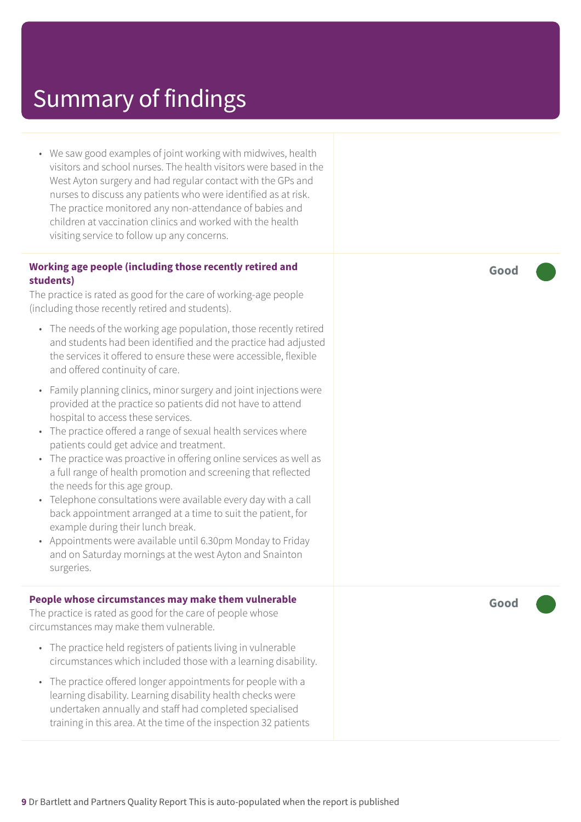• We saw good examples of joint working with midwives, health visitors and school nurses. The health visitors were based in the West Ayton surgery and had regular contact with the GPs and nurses to discuss any patients who were identified as at risk. The practice monitored any non-attendance of babies and children at vaccination clinics and worked with the health visiting service to follow up any concerns.

#### **Working age people (including those recently retired and students)**

The practice is rated as good for the care of working-age people (including those recently retired and students).

- The needs of the working age population, those recently retired and students had been identified and the practice had adjusted the services it offered to ensure these were accessible, flexible and offered continuity of care.
- Family planning clinics, minor surgery and joint injections were provided at the practice so patients did not have to attend hospital to access these services.
- The practice offered a range of sexual health services where patients could get advice and treatment.
- The practice was proactive in offering online services as well as a full range of health promotion and screening that reflected the needs for this age group.
- Telephone consultations were available every day with a call back appointment arranged at a time to suit the patient, for example during their lunch break.
- Appointments were available until 6.30pm Monday to Friday and on Saturday mornings at the west Ayton and Snainton surgeries.

#### **People whose circumstances may make them vulnerable**

The practice is rated as good for the care of people whose circumstances may make them vulnerable.

- The practice held registers of patients living in vulnerable circumstances which included those with a learning disability.
- The practice offered longer appointments for people with a learning disability. Learning disability health checks were undertaken annually and staff had completed specialised training in this area. At the time of the inspection 32 patients

**Good –––**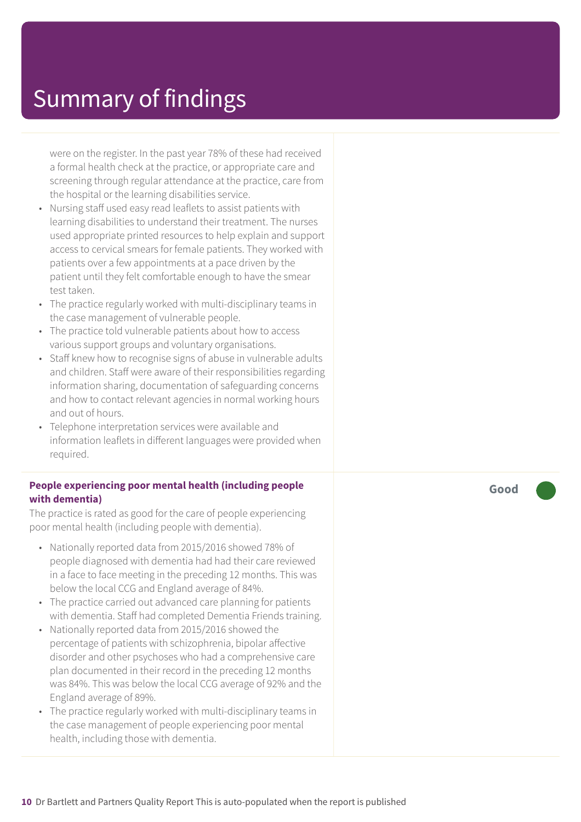were on the register. In the past year 78% of these had received a formal health check at the practice, or appropriate care and screening through regular attendance at the practice, care from the hospital or the learning disabilities service.

- Nursing staff used easy read leaflets to assist patients with learning disabilities to understand their treatment. The nurses used appropriate printed resources to help explain and support access to cervical smears for female patients. They worked with patients over a few appointments at a pace driven by the patient until they felt comfortable enough to have the smear test taken.
- The practice regularly worked with multi-disciplinary teams in the case management of vulnerable people.
- The practice told vulnerable patients about how to access various support groups and voluntary organisations.
- Staff knew how to recognise signs of abuse in vulnerable adults and children. Staff were aware of their responsibilities regarding information sharing, documentation of safeguarding concerns and how to contact relevant agencies in normal working hours and out of hours.
- Telephone interpretation services were available and information leaflets in different languages were provided when required.

#### **People experiencing poor mental health (including people with dementia)**

The practice is rated as good for the care of people experiencing poor mental health (including people with dementia).

- Nationally reported data from 2015/2016 showed 78% of people diagnosed with dementia had had their care reviewed in a face to face meeting in the preceding 12 months. This was below the local CCG and England average of 84%.
- The practice carried out advanced care planning for patients with dementia. Staff had completed Dementia Friends training.
- Nationally reported data from 2015/2016 showed the percentage of patients with schizophrenia, bipolar affective disorder and other psychoses who had a comprehensive care plan documented in their record in the preceding 12 months was 84%. This was below the local CCG average of 92% and the England average of 89%.
- The practice regularly worked with multi-disciplinary teams in the case management of people experiencing poor mental health, including those with dementia.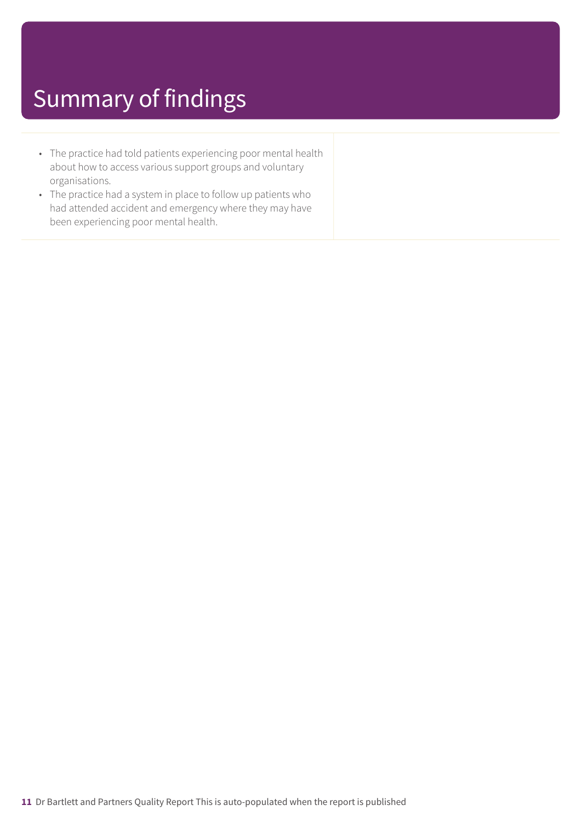- The practice had told patients experiencing poor mental health about how to access various support groups and voluntary organisations.
- The practice had a system in place to follow up patients who had attended accident and emergency where they may have been experiencing poor mental health.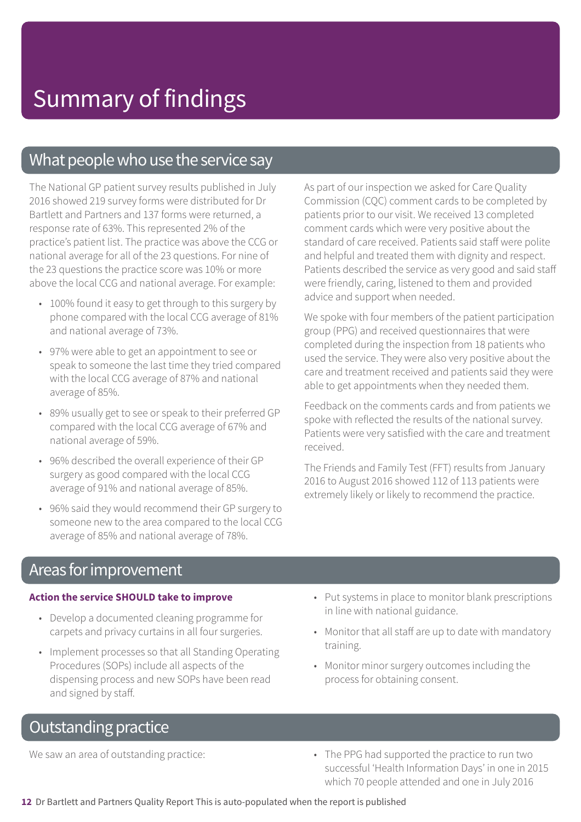### What people who use the service say

The National GP patient survey results published in July 2016 showed 219 survey forms were distributed for Dr Bartlett and Partners and 137 forms were returned, a response rate of 63%. This represented 2% of the practice's patient list. The practice was above the CCG or national average for all of the 23 questions. For nine of the 23 questions the practice score was 10% or more above the local CCG and national average. For example:

- 100% found it easy to get through to this surgery by phone compared with the local CCG average of 81% and national average of 73%.
- 97% were able to get an appointment to see or speak to someone the last time they tried compared with the local CCG average of 87% and national average of 85%.
- 89% usually get to see or speak to their preferred GP compared with the local CCG average of 67% and national average of 59%.
- 96% described the overall experience of their GP surgery as good compared with the local CCG average of 91% and national average of 85%.
- 96% said they would recommend their GP surgery to someone new to the area compared to the local CCG average of 85% and national average of 78%.

As part of our inspection we asked for Care Quality Commission (CQC) comment cards to be completed by patients prior to our visit. We received 13 completed comment cards which were very positive about the standard of care received. Patients said staff were polite and helpful and treated them with dignity and respect. Patients described the service as very good and said staff were friendly, caring, listened to them and provided advice and support when needed.

We spoke with four members of the patient participation group (PPG) and received questionnaires that were completed during the inspection from 18 patients who used the service. They were also very positive about the care and treatment received and patients said they were able to get appointments when they needed them.

Feedback on the comments cards and from patients we spoke with reflected the results of the national survey. Patients were very satisfied with the care and treatment received.

The Friends and Family Test (FFT) results from January 2016 to August 2016 showed 112 of 113 patients were extremely likely or likely to recommend the practice.

### Areas forimprovement

#### **Action the service SHOULD take to improve**

- Develop a documented cleaning programme for carpets and privacy curtains in all four surgeries.
- Implement processes so that all Standing Operating Procedures (SOPs) include all aspects of the dispensing process and new SOPs have been read and signed by staff.
- Put systems in place to monitor blank prescriptions in line with national guidance.
- Monitor that all staff are up to date with mandatory training.
- Monitor minor surgery outcomes including the process for obtaining consent.

### **Outstanding practice**

We saw an area of outstanding practice:  $\blacksquare$   $\blacksquare$  The PPG had supported the practice to run two successful 'Health Information Days' in one in 2015 which 70 people attended and one in July 2016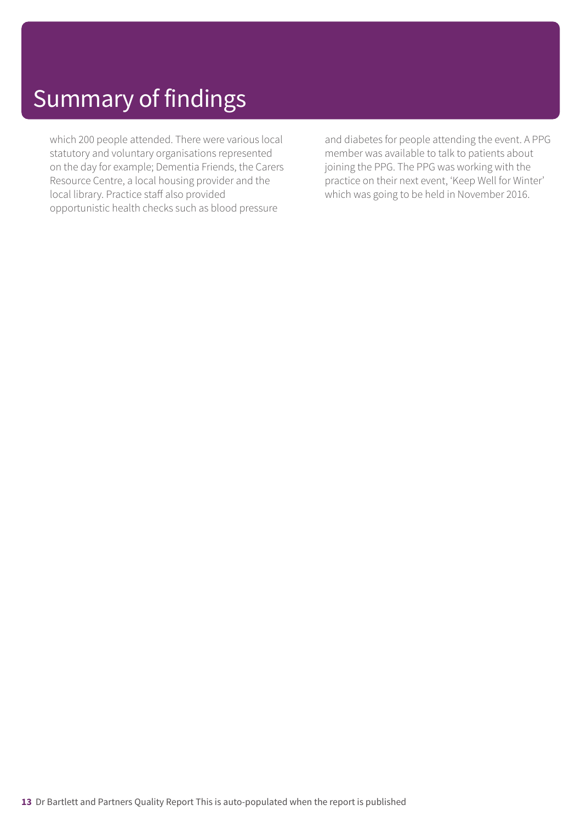which 200 people attended. There were various local statutory and voluntary organisations represented on the day for example; Dementia Friends, the Carers Resource Centre, a local housing provider and the local library. Practice staff also provided opportunistic health checks such as blood pressure

and diabetes for people attending the event. A PPG member was available to talk to patients about joining the PPG. The PPG was working with the practice on their next event, 'Keep Well for Winter' which was going to be held in November 2016.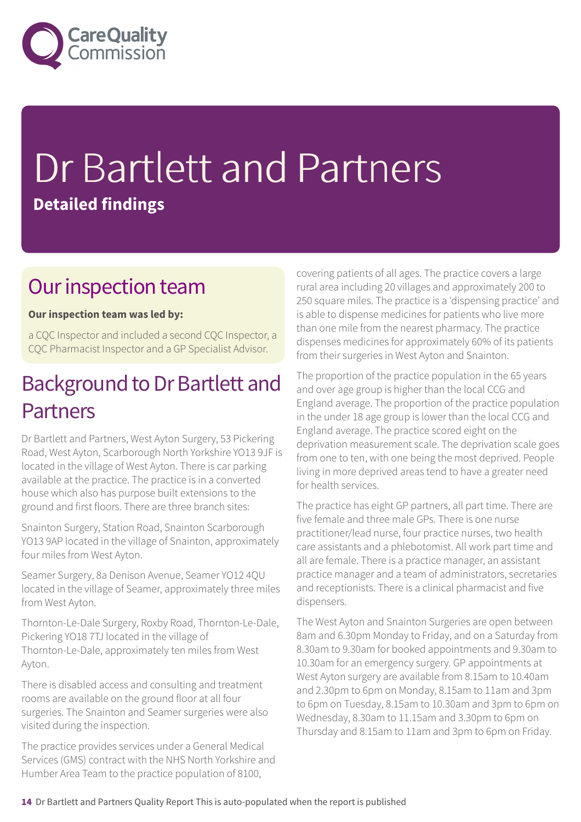

# Dr Bartlett and Partners **Detailed findings**

### Our inspection team

### **Our inspection team was led by:**

a CQC Inspector and included a second CQC Inspector, a CQC Pharmacist Inspector and a GP Specialist Advisor.

### Background to Dr Bartlett and Partners

Dr Bartlett and Partners, West Ayton Surgery, 53 Pickering Road, West Ayton, Scarborough North Yorkshire YO13 9JF is located in the village of West Ayton. There is car parking available at the practice. The practice is in a converted house which also has purpose built extensions to the ground and first floors. There are three branch sites:

Snainton Surgery, Station Road, Snainton Scarborough YO13 9AP located in the village of Snainton, approximately four miles from West Ayton.

Seamer Surgery, 8a Denison Avenue, Seamer YO12 4QU located in the village of Seamer, approximately three miles from West Ayton.

Thornton-Le-Dale Surgery, Roxby Road, Thornton-Le-Dale, Pickering YO18 7TJ located in the village of Thornton-Le-Dale, approximately ten miles from West Ayton.

There is disabled access and consulting and treatment rooms are available on the ground floor at all four surgeries. The Snainton and Seamer surgeries were also visited during the inspection.

The practice provides services under a General Medical Services (GMS) contract with the NHS North Yorkshire and Humber Area Team to the practice population of 8100,

covering patients of all ages. The practice covers a large rural area including 20 villages and approximately 200 to 250 square miles. The practice is a 'dispensing practice' and is able to dispense medicines for patients who live more than one mile from the nearest pharmacy. The practice dispenses medicines for approximately 60% of its patients from their surgeries in West Ayton and Snainton.

The proportion of the practice population in the 65 years and over age group is higher than the local CCG and England average. The proportion of the practice population in the under 18 age group is lower than the local CCG and England average. The practice scored eight on the deprivation measurement scale. The deprivation scale goes from one to ten, with one being the most deprived. People living in more deprived areas tend to have a greater need for health services.

The practice has eight GP partners, all part time. There are five female and three male GPs. There is one nurse practitioner/lead nurse, four practice nurses, two health care assistants and a phlebotomist. All work part time and all are female. There is a practice manager, an assistant practice manager and a team of administrators, secretaries and receptionists. There is a clinical pharmacist and five dispensers.

The West Ayton and Snainton Surgeries are open between 8am and 6.30pm Monday to Friday, and on a Saturday from 8.30am to 9.30am for booked appointments and 9.30am to 10.30am for an emergency surgery. GP appointments at West Ayton surgery are available from 8.15am to 10.40am and 2.30pm to 6pm on Monday, 8.15am to 11am and 3pm to 6pm on Tuesday, 8.15am to 10.30am and 3pm to 6pm on Wednesday, 8.30am to 11.15am and 3.30pm to 6pm on Thursday and 8.15am to 11am and 3pm to 6pm on Friday.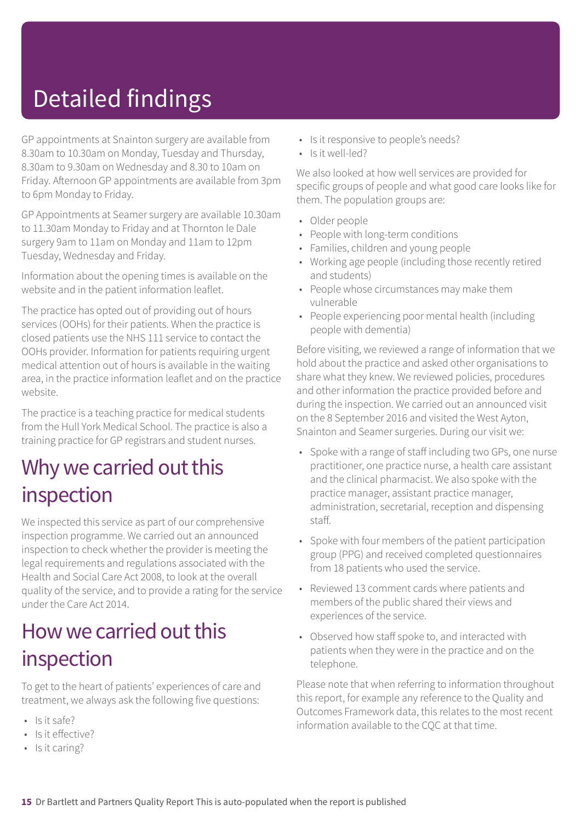# Detailed findings

GP appointments at Snainton surgery are available from 8.30am to 10.30am on Monday, Tuesday and Thursday, 8.30am to 9.30am on Wednesday and 8.30 to 10am on Friday. Afternoon GP appointments are available from 3pm to 6pm Monday to Friday.

GP Appointments at Seamer surgery are available 10.30am to 11.30am Monday to Friday and at Thornton le Dale surgery 9am to 11am on Monday and 11am to 12pm Tuesday, Wednesday and Friday.

Information about the opening times is available on the website and in the patient information leaflet.

The practice has opted out of providing out of hours services (OOHs) for their patients. When the practice is closed patients use the NHS 111 service to contact the OOHs provider. Information for patients requiring urgent medical attention out of hours is available in the waiting area, in the practice information leaflet and on the practice website.

The practice is a teaching practice for medical students from the Hull York Medical School. The practice is also a training practice for GP registrars and student nurses.

### Why we carried out this inspection

We inspected this service as part of our comprehensive inspection programme. We carried out an announced inspection to check whether the provider is meeting the legal requirements and regulations associated with the Health and Social Care Act 2008, to look at the overall quality of the service, and to provide a rating for the service under the Care Act 2014.

### How we carried out this inspection

To get to the heart of patients' experiences of care and treatment, we always ask the following five questions:

- Is it safe?
- Is it effective?
- Is it caring?
- Is it responsive to people's needs?
- Is it well-led?

We also looked at how well services are provided for specific groups of people and what good care looks like for them. The population groups are:

- Older people
- People with long-term conditions
- Families, children and young people
- Working age people (including those recently retired and students)
- People whose circumstances may make them vulnerable
- People experiencing poor mental health (including people with dementia)

Before visiting, we reviewed a range of information that we hold about the practice and asked other organisations to share what they knew. We reviewed policies, procedures and other information the practice provided before and during the inspection. We carried out an announced visit on the 8 September 2016 and visited the West Ayton, Snainton and Seamer surgeries. During our visit we:

- Spoke with a range of staff including two GPs, one nurse practitioner, one practice nurse, a health care assistant and the clinical pharmacist. We also spoke with the practice manager, assistant practice manager, administration, secretarial, reception and dispensing staff.
- Spoke with four members of the patient participation group (PPG) and received completed questionnaires from 18 patients who used the service.
- Reviewed 13 comment cards where patients and members of the public shared their views and experiences of the service.
- Observed how staff spoke to, and interacted with patients when they were in the practice and on the telephone.

Please note that when referring to information throughout this report, for example any reference to the Quality and Outcomes Framework data, this relates to the most recent information available to the CQC at that time.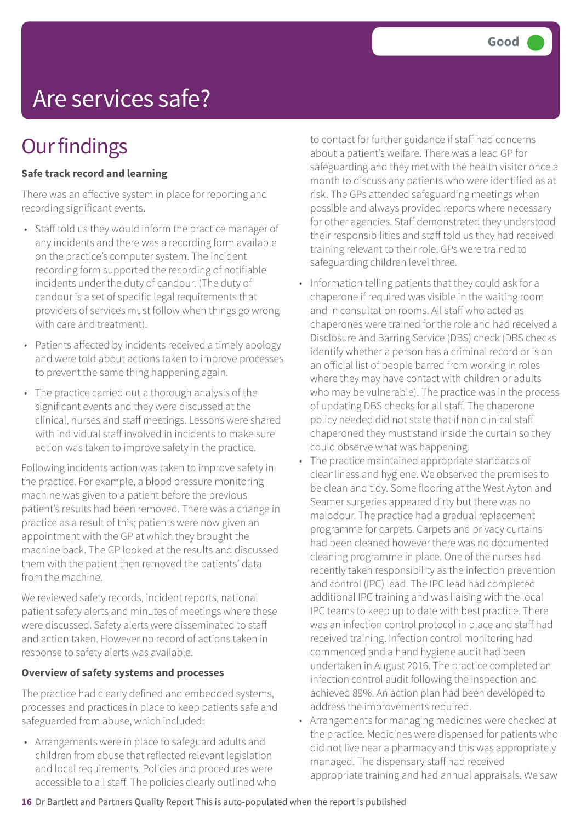# Are services safe?

### **Our findings**

#### **Safe track record and learning**

There was an effective system in place for reporting and recording significant events.

- Staff told us they would inform the practice manager of any incidents and there was a recording form available on the practice's computer system. The incident recording form supported the recording of notifiable incidents under the duty of candour. (The duty of candour is a set of specific legal requirements that providers of services must follow when things go wrong with care and treatment).
- Patients affected by incidents received a timely apology and were told about actions taken to improve processes to prevent the same thing happening again.
- The practice carried out a thorough analysis of the significant events and they were discussed at the clinical, nurses and staff meetings. Lessons were shared with individual staff involved in incidents to make sure action was taken to improve safety in the practice.

Following incidents action was taken to improve safety in the practice. For example, a blood pressure monitoring machine was given to a patient before the previous patient's results had been removed. There was a change in practice as a result of this; patients were now given an appointment with the GP at which they brought the machine back. The GP looked at the results and discussed them with the patient then removed the patients' data from the machine.

We reviewed safety records, incident reports, national patient safety alerts and minutes of meetings where these were discussed. Safety alerts were disseminated to staff and action taken. However no record of actions taken in response to safety alerts was available.

#### **Overview of safety systems and processes**

The practice had clearly defined and embedded systems, processes and practices in place to keep patients safe and safeguarded from abuse, which included:

• Arrangements were in place to safeguard adults and children from abuse that reflected relevant legislation and local requirements. Policies and procedures were accessible to all staff. The policies clearly outlined who to contact for further guidance if staff had concerns about a patient's welfare. There was a lead GP for safeguarding and they met with the health visitor once a month to discuss any patients who were identified as at risk. The GPs attended safeguarding meetings when possible and always provided reports where necessary for other agencies. Staff demonstrated they understood their responsibilities and staff told us they had received training relevant to their role. GPs were trained to safeguarding children level three.

- Information telling patients that they could ask for a chaperone if required was visible in the waiting room and in consultation rooms. All staff who acted as chaperones were trained for the role and had received a Disclosure and Barring Service (DBS) check (DBS checks identify whether a person has a criminal record or is on an official list of people barred from working in roles where they may have contact with children or adults who may be vulnerable). The practice was in the process of updating DBS checks for all staff. The chaperone policy needed did not state that if non clinical staff chaperoned they must stand inside the curtain so they could observe what was happening.
- The practice maintained appropriate standards of cleanliness and hygiene. We observed the premises to be clean and tidy. Some flooring at the West Ayton and Seamer surgeries appeared dirty but there was no malodour. The practice had a gradual replacement programme for carpets. Carpets and privacy curtains had been cleaned however there was no documented cleaning programme in place. One of the nurses had recently taken responsibility as the infection prevention and control (IPC) lead. The IPC lead had completed additional IPC training and was liaising with the local IPC teams to keep up to date with best practice. There was an infection control protocol in place and staff had received training. Infection control monitoring had commenced and a hand hygiene audit had been undertaken in August 2016. The practice completed an infection control audit following the inspection and achieved 89%. An action plan had been developed to address the improvements required.
- Arrangements for managing medicines were checked at the practice. Medicines were dispensed for patients who did not live near a pharmacy and this was appropriately managed. The dispensary staff had received appropriate training and had annual appraisals. We saw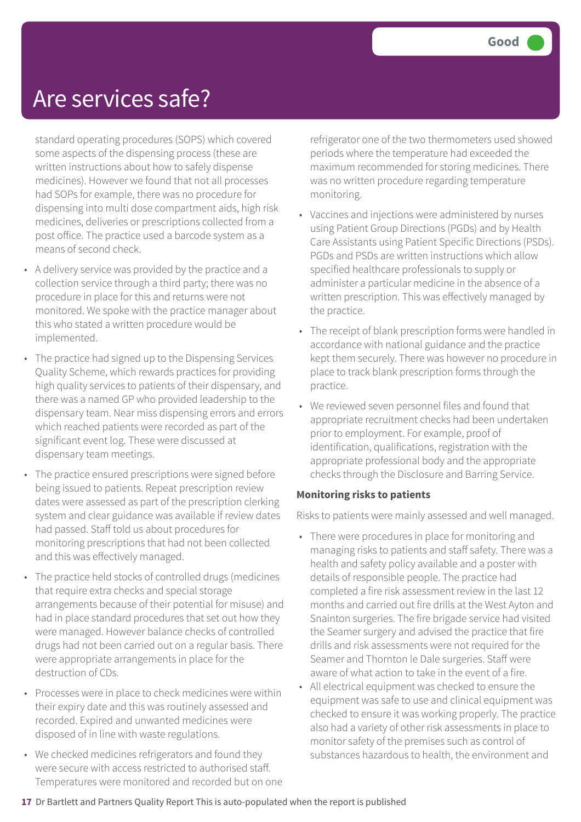### Are services safe?

standard operating procedures (SOPS) which covered some aspects of the dispensing process (these are written instructions about how to safely dispense medicines). However we found that not all processes had SOPs for example, there was no procedure for dispensing into multi dose compartment aids, high risk medicines, deliveries or prescriptions collected from a post office. The practice used a barcode system as a means of second check.

- A delivery service was provided by the practice and a collection service through a third party; there was no procedure in place for this and returns were not monitored. We spoke with the practice manager about this who stated a written procedure would be implemented.
- The practice had signed up to the Dispensing Services Quality Scheme, which rewards practices for providing high quality services to patients of their dispensary, and there was a named GP who provided leadership to the dispensary team. Near miss dispensing errors and errors which reached patients were recorded as part of the significant event log. These were discussed at dispensary team meetings.
- The practice ensured prescriptions were signed before being issued to patients. Repeat prescription review dates were assessed as part of the prescription clerking system and clear guidance was available if review dates had passed. Staff told us about procedures for monitoring prescriptions that had not been collected and this was effectively managed.
- The practice held stocks of controlled drugs (medicines that require extra checks and special storage arrangements because of their potential for misuse) and had in place standard procedures that set out how they were managed. However balance checks of controlled drugs had not been carried out on a regular basis. There were appropriate arrangements in place for the destruction of CDs.
- Processes were in place to check medicines were within their expiry date and this was routinely assessed and recorded. Expired and unwanted medicines were disposed of in line with waste regulations.
- We checked medicines refrigerators and found they were secure with access restricted to authorised staff. Temperatures were monitored and recorded but on one

refrigerator one of the two thermometers used showed periods where the temperature had exceeded the maximum recommended for storing medicines. There was no written procedure regarding temperature monitoring.

- Vaccines and injections were administered by nurses using Patient Group Directions (PGDs) and by Health Care Assistants using Patient Specific Directions (PSDs). PGDs and PSDs are written instructions which allow specified healthcare professionals to supply or administer a particular medicine in the absence of a written prescription. This was effectively managed by the practice.
- The receipt of blank prescription forms were handled in accordance with national guidance and the practice kept them securely. There was however no procedure in place to track blank prescription forms through the practice.
- We reviewed seven personnel files and found that appropriate recruitment checks had been undertaken prior to employment. For example, proof of identification, qualifications, registration with the appropriate professional body and the appropriate checks through the Disclosure and Barring Service.

### **Monitoring risks to patients**

Risks to patients were mainly assessed and well managed.

- There were procedures in place for monitoring and managing risks to patients and staff safety. There was a health and safety policy available and a poster with details of responsible people. The practice had completed a fire risk assessment review in the last 12 months and carried out fire drills at the West Ayton and Snainton surgeries. The fire brigade service had visited the Seamer surgery and advised the practice that fire drills and risk assessments were not required for the Seamer and Thornton le Dale surgeries. Staff were aware of what action to take in the event of a fire.
- All electrical equipment was checked to ensure the equipment was safe to use and clinical equipment was checked to ensure it was working properly. The practice also had a variety of other risk assessments in place to monitor safety of the premises such as control of substances hazardous to health, the environment and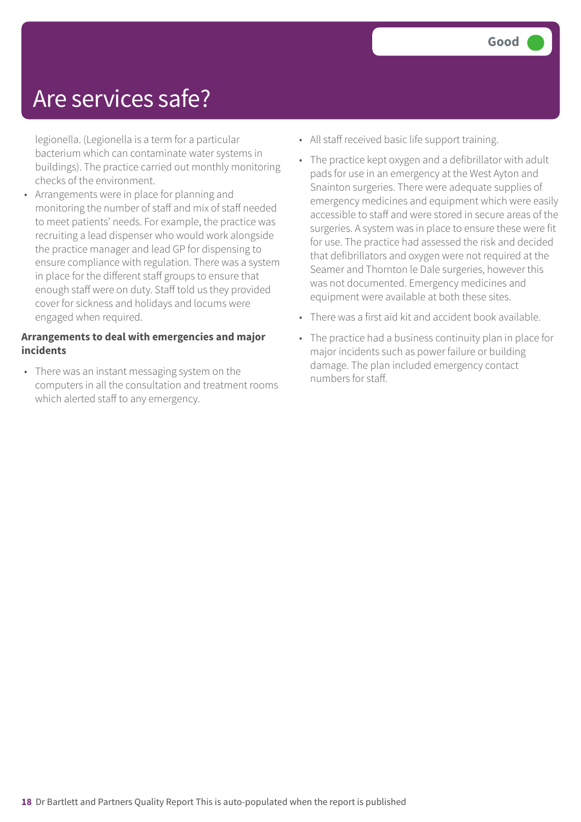### Are services safe?

legionella. (Legionella is a term for a particular bacterium which can contaminate water systems in buildings). The practice carried out monthly monitoring checks of the environment.

• Arrangements were in place for planning and monitoring the number of staff and mix of staff needed to meet patients' needs. For example, the practice was recruiting a lead dispenser who would work alongside the practice manager and lead GP for dispensing to ensure compliance with regulation. There was a system in place for the different staff groups to ensure that enough staff were on duty. Staff told us they provided cover for sickness and holidays and locums were engaged when required.

#### **Arrangements to deal with emergencies and major incidents**

• There was an instant messaging system on the computers in all the consultation and treatment rooms which alerted staff to any emergency.

- All staff received basic life support training.
- The practice kept oxygen and a defibrillator with adult pads for use in an emergency at the West Ayton and Snainton surgeries. There were adequate supplies of emergency medicines and equipment which were easily accessible to staff and were stored in secure areas of the surgeries. A system was in place to ensure these were fit for use. The practice had assessed the risk and decided that defibrillators and oxygen were not required at the Seamer and Thornton le Dale surgeries, however this was not documented. Emergency medicines and equipment were available at both these sites.
- There was a first aid kit and accident book available.
- The practice had a business continuity plan in place for major incidents such as power failure or building damage. The plan included emergency contact numbers for staff.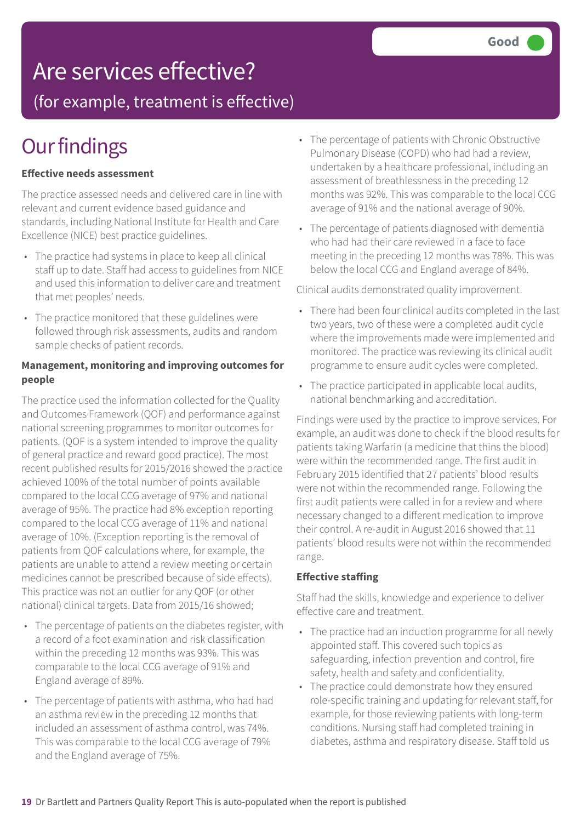### Are services effective?

(for example, treatment is effective)

## **Our findings**

#### **Effective needs assessment**

The practice assessed needs and delivered care in line with relevant and current evidence based guidance and standards, including National Institute for Health and Care Excellence (NICE) best practice guidelines.

- The practice had systems in place to keep all clinical staff up to date. Staff had access to guidelines from NICE and used this information to deliver care and treatment that met peoples' needs.
- The practice monitored that these guidelines were followed through risk assessments, audits and random sample checks of patient records.

#### **Management, monitoring and improving outcomes for people**

The practice used the information collected for the Quality and Outcomes Framework (QOF) and performance against national screening programmes to monitor outcomes for patients. (QOF is a system intended to improve the quality of general practice and reward good practice). The most recent published results for 2015/2016 showed the practice achieved 100% of the total number of points available compared to the local CCG average of 97% and national average of 95%. The practice had 8% exception reporting compared to the local CCG average of 11% and national average of 10%. (Exception reporting is the removal of patients from QOF calculations where, for example, the patients are unable to attend a review meeting or certain medicines cannot be prescribed because of side effects). This practice was not an outlier for any QOF (or other national) clinical targets. Data from 2015/16 showed;

- The percentage of patients on the diabetes register, with a record of a foot examination and risk classification within the preceding 12 months was 93%. This was comparable to the local CCG average of 91% and England average of 89%.
- The percentage of patients with asthma, who had had an asthma review in the preceding 12 months that included an assessment of asthma control, was 74%. This was comparable to the local CCG average of 79% and the England average of 75%.
- The percentage of patients with Chronic Obstructive Pulmonary Disease (COPD) who had had a review, undertaken by a healthcare professional, including an assessment of breathlessness in the preceding 12 months was 92%. This was comparable to the local CCG average of 91% and the national average of 90%.
- The percentage of patients diagnosed with dementia who had had their care reviewed in a face to face meeting in the preceding 12 months was 78%. This was below the local CCG and England average of 84%.

Clinical audits demonstrated quality improvement.

- There had been four clinical audits completed in the last two years, two of these were a completed audit cycle where the improvements made were implemented and monitored. The practice was reviewing its clinical audit programme to ensure audit cycles were completed.
- The practice participated in applicable local audits, national benchmarking and accreditation.

Findings were used by the practice to improve services. For example, an audit was done to check if the blood results for patients taking Warfarin (a medicine that thins the blood) were within the recommended range. The first audit in February 2015 identified that 27 patients' blood results were not within the recommended range. Following the first audit patients were called in for a review and where necessary changed to a different medication to improve their control. A re-audit in August 2016 showed that 11 patients' blood results were not within the recommended range.

#### **Effective staffing**

Staff had the skills, knowledge and experience to deliver effective care and treatment.

- The practice had an induction programme for all newly appointed staff. This covered such topics as safeguarding, infection prevention and control, fire safety, health and safety and confidentiality.
- The practice could demonstrate how they ensured role-specific training and updating for relevant staff, for example, for those reviewing patients with long-term conditions. Nursing staff had completed training in diabetes, asthma and respiratory disease. Staff told us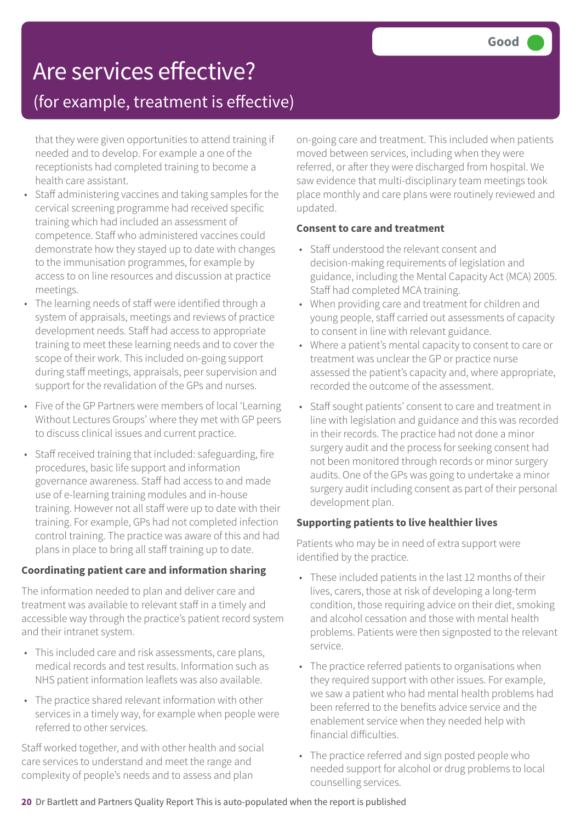## Are services effective?

### (for example, treatment is effective)

that they were given opportunities to attend training if needed and to develop. For example a one of the receptionists had completed training to become a health care assistant.

- Staff administering vaccines and taking samples for the cervical screening programme had received specific training which had included an assessment of competence. Staff who administered vaccines could demonstrate how they stayed up to date with changes to the immunisation programmes, for example by access to on line resources and discussion at practice meetings.
- The learning needs of staff were identified through a system of appraisals, meetings and reviews of practice development needs. Staff had access to appropriate training to meet these learning needs and to cover the scope of their work. This included on-going support during staff meetings, appraisals, peer supervision and support for the revalidation of the GPs and nurses.
- Five of the GP Partners were members of local 'Learning Without Lectures Groups' where they met with GP peers to discuss clinical issues and current practice.
- Staff received training that included: safeguarding, fire procedures, basic life support and information governance awareness. Staff had access to and made use of e-learning training modules and in-house training. However not all staff were up to date with their training. For example, GPs had not completed infection control training. The practice was aware of this and had plans in place to bring all staff training up to date.

#### **Coordinating patient care and information sharing**

The information needed to plan and deliver care and treatment was available to relevant staff in a timely and accessible way through the practice's patient record system and their intranet system.

- This included care and risk assessments, care plans, medical records and test results. Information such as NHS patient information leaflets was also available.
- The practice shared relevant information with other services in a timely way, for example when people were referred to other services.

Staff worked together, and with other health and social care services to understand and meet the range and complexity of people's needs and to assess and plan

on-going care and treatment. This included when patients moved between services, including when they were referred, or after they were discharged from hospital. We saw evidence that multi-disciplinary team meetings took place monthly and care plans were routinely reviewed and updated.

### **Consent to care and treatment**

- Staff understood the relevant consent and decision-making requirements of legislation and guidance, including the Mental Capacity Act (MCA) 2005. Staff had completed MCA training.
- When providing care and treatment for children and young people, staff carried out assessments of capacity to consent in line with relevant guidance.
- Where a patient's mental capacity to consent to care or treatment was unclear the GP or practice nurse assessed the patient's capacity and, where appropriate, recorded the outcome of the assessment.
- Staff sought patients' consent to care and treatment in line with legislation and guidance and this was recorded in their records. The practice had not done a minor surgery audit and the process for seeking consent had not been monitored through records or minor surgery audits. One of the GPs was going to undertake a minor surgery audit including consent as part of their personal development plan.

### **Supporting patients to live healthier lives**

Patients who may be in need of extra support were identified by the practice.

- These included patients in the last 12 months of their lives, carers, those at risk of developing a long-term condition, those requiring advice on their diet, smoking and alcohol cessation and those with mental health problems. Patients were then signposted to the relevant service.
- The practice referred patients to organisations when they required support with other issues. For example, we saw a patient who had mental health problems had been referred to the benefits advice service and the enablement service when they needed help with financial difficulties.
- The practice referred and sign posted people who needed support for alcohol or drug problems to local counselling services.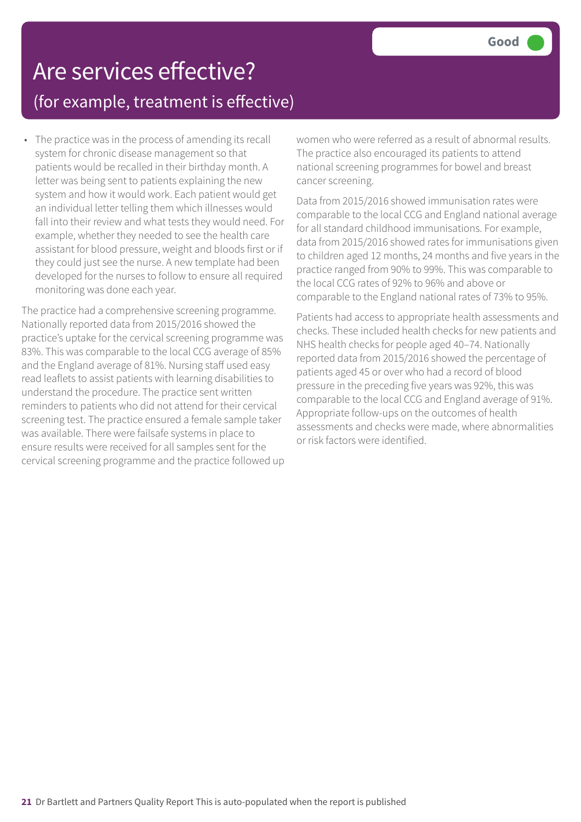### Are services effective? (for example, treatment is effective)

• The practice was in the process of amending its recall system for chronic disease management so that patients would be recalled in their birthday month. A letter was being sent to patients explaining the new system and how it would work. Each patient would get an individual letter telling them which illnesses would fall into their review and what tests they would need. For example, whether they needed to see the health care assistant for blood pressure, weight and bloods first or if they could just see the nurse. A new template had been developed for the nurses to follow to ensure all required monitoring was done each year.

The practice had a comprehensive screening programme. Nationally reported data from 2015/2016 showed the practice's uptake for the cervical screening programme was 83%. This was comparable to the local CCG average of 85% and the England average of 81%. Nursing staff used easy read leaflets to assist patients with learning disabilities to understand the procedure. The practice sent written reminders to patients who did not attend for their cervical screening test. The practice ensured a female sample taker was available. There were failsafe systems in place to ensure results were received for all samples sent for the cervical screening programme and the practice followed up women who were referred as a result of abnormal results. The practice also encouraged its patients to attend national screening programmes for bowel and breast cancer screening.

Data from 2015/2016 showed immunisation rates were comparable to the local CCG and England national average for all standard childhood immunisations. For example, data from 2015/2016 showed rates for immunisations given to children aged 12 months, 24 months and five years in the practice ranged from 90% to 99%. This was comparable to the local CCG rates of 92% to 96% and above or comparable to the England national rates of 73% to 95%.

Patients had access to appropriate health assessments and checks. These included health checks for new patients and NHS health checks for people aged 40–74. Nationally reported data from 2015/2016 showed the percentage of patients aged 45 or over who had a record of blood pressure in the preceding five years was 92%, this was comparable to the local CCG and England average of 91%. Appropriate follow-ups on the outcomes of health assessments and checks were made, where abnormalities or risk factors were identified.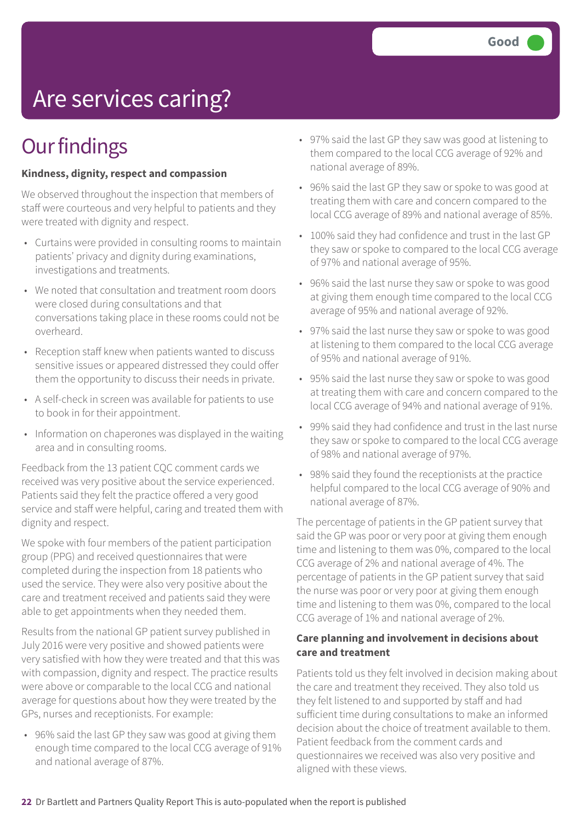# Are services caring?

### **Our findings**

#### **Kindness, dignity, respect and compassion**

We observed throughout the inspection that members of staff were courteous and very helpful to patients and they were treated with dignity and respect.

- Curtains were provided in consulting rooms to maintain patients' privacy and dignity during examinations, investigations and treatments.
- We noted that consultation and treatment room doors were closed during consultations and that conversations taking place in these rooms could not be overheard.
- Reception staff knew when patients wanted to discuss sensitive issues or appeared distressed they could offer them the opportunity to discuss their needs in private.
- A self-check in screen was available for patients to use to book in for their appointment.
- Information on chaperones was displayed in the waiting area and in consulting rooms.

Feedback from the 13 patient CQC comment cards we received was very positive about the service experienced. Patients said they felt the practice offered a very good service and staff were helpful, caring and treated them with dignity and respect.

We spoke with four members of the patient participation group (PPG) and received questionnaires that were completed during the inspection from 18 patients who used the service. They were also very positive about the care and treatment received and patients said they were able to get appointments when they needed them.

Results from the national GP patient survey published in July 2016 were very positive and showed patients were very satisfied with how they were treated and that this was with compassion, dignity and respect. The practice results were above or comparable to the local CCG and national average for questions about how they were treated by the GPs, nurses and receptionists. For example:

• 96% said the last GP they saw was good at giving them enough time compared to the local CCG average of 91% and national average of 87%.

- 97% said the last GP they saw was good at listening to them compared to the local CCG average of 92% and national average of 89%.
- 96% said the last GP they saw or spoke to was good at treating them with care and concern compared to the local CCG average of 89% and national average of 85%.
- 100% said they had confidence and trust in the last GP they saw or spoke to compared to the local CCG average of 97% and national average of 95%.
- 96% said the last nurse they saw or spoke to was good at giving them enough time compared to the local CCG average of 95% and national average of 92%.
- 97% said the last nurse they saw or spoke to was good at listening to them compared to the local CCG average of 95% and national average of 91%.
- 95% said the last nurse they saw or spoke to was good at treating them with care and concern compared to the local CCG average of 94% and national average of 91%.
- 99% said they had confidence and trust in the last nurse they saw or spoke to compared to the local CCG average of 98% and national average of 97%.
- 98% said they found the receptionists at the practice helpful compared to the local CCG average of 90% and national average of 87%.

The percentage of patients in the GP patient survey that said the GP was poor or very poor at giving them enough time and listening to them was 0%, compared to the local CCG average of 2% and national average of 4%. The percentage of patients in the GP patient survey that said the nurse was poor or very poor at giving them enough time and listening to them was 0%, compared to the local CCG average of 1% and national average of 2%.

#### **Care planning and involvement in decisions about care and treatment**

Patients told us they felt involved in decision making about the care and treatment they received. They also told us they felt listened to and supported by staff and had sufficient time during consultations to make an informed decision about the choice of treatment available to them. Patient feedback from the comment cards and questionnaires we received was also very positive and aligned with these views.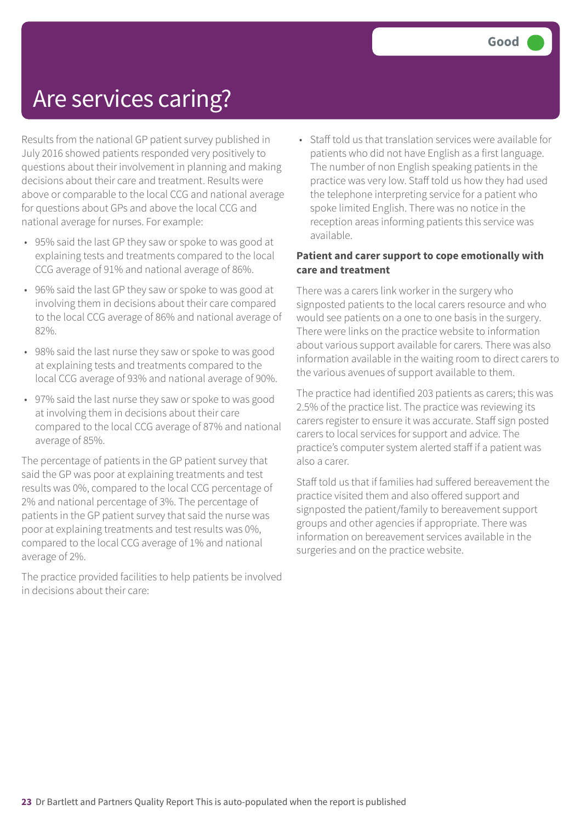### Are services caring?

Results from the national GP patient survey published in July 2016 showed patients responded very positively to questions about their involvement in planning and making decisions about their care and treatment. Results were above or comparable to the local CCG and national average for questions about GPs and above the local CCG and national average for nurses. For example:

- 95% said the last GP they saw or spoke to was good at explaining tests and treatments compared to the local CCG average of 91% and national average of 86%.
- 96% said the last GP they saw or spoke to was good at involving them in decisions about their care compared to the local CCG average of 86% and national average of 82%.
- 98% said the last nurse they saw or spoke to was good at explaining tests and treatments compared to the local CCG average of 93% and national average of 90%.
- 97% said the last nurse they saw or spoke to was good at involving them in decisions about their care compared to the local CCG average of 87% and national average of 85%.

The percentage of patients in the GP patient survey that said the GP was poor at explaining treatments and test results was 0%, compared to the local CCG percentage of 2% and national percentage of 3%. The percentage of patients in the GP patient survey that said the nurse was poor at explaining treatments and test results was 0%, compared to the local CCG average of 1% and national average of 2%.

The practice provided facilities to help patients be involved in decisions about their care:

• Staff told us that translation services were available for patients who did not have English as a first language. The number of non English speaking patients in the practice was very low. Staff told us how they had used the telephone interpreting service for a patient who spoke limited English. There was no notice in the reception areas informing patients this service was available.

#### **Patient and carer support to cope emotionally with care and treatment**

There was a carers link worker in the surgery who signposted patients to the local carers resource and who would see patients on a one to one basis in the surgery. There were links on the practice website to information about various support available for carers. There was also information available in the waiting room to direct carers to the various avenues of support available to them.

The practice had identified 203 patients as carers; this was 2.5% of the practice list. The practice was reviewing its carers register to ensure it was accurate. Staff sign posted carers to local services for support and advice. The practice's computer system alerted staff if a patient was also a carer.

Staff told us that if families had suffered bereavement the practice visited them and also offered support and signposted the patient/family to bereavement support groups and other agencies if appropriate. There was information on bereavement services available in the surgeries and on the practice website.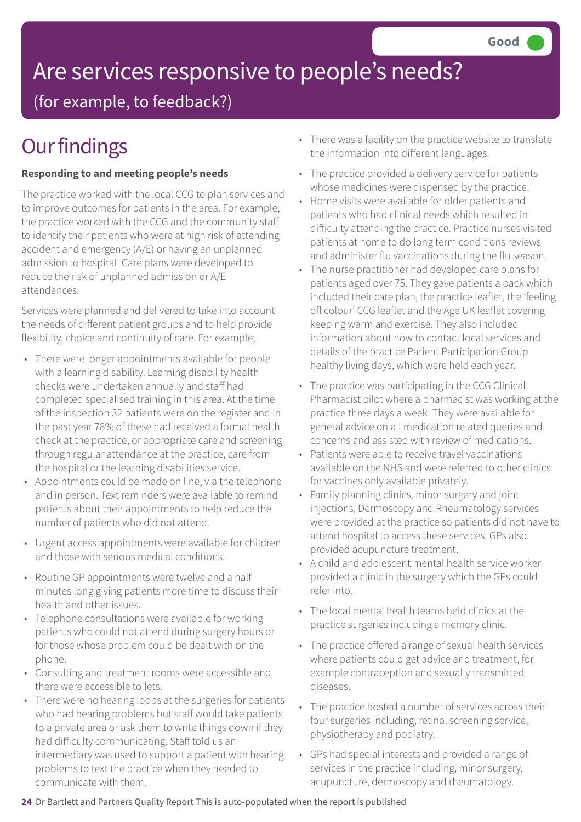# Are services responsive to people's needs?

(for example, to feedback?)

# **Our findings**

### **Responding to and meeting people's needs**

The practice worked with the local CCG to plan services and to improve outcomes for patients in the area. For example, the practice worked with the CCG and the community staff to identify their patients who were at high risk of attending accident and emergency (A/E) or having an unplanned admission to hospital. Care plans were developed to reduce the risk of unplanned admission or A/E attendances.

Services were planned and delivered to take into account the needs of different patient groups and to help provide flexibility, choice and continuity of care. For example;

- There were longer appointments available for people with a learning disability. Learning disability health checks were undertaken annually and staff had completed specialised training in this area. At the time of the inspection 32 patients were on the register and in the past year 78% of these had received a formal health check at the practice, or appropriate care and screening through regular attendance at the practice, care from the hospital or the learning disabilities service.
- Appointments could be made on line, via the telephone and in person. Text reminders were available to remind patients about their appointments to help reduce the number of patients who did not attend.
- Urgent access appointments were available for children and those with serious medical conditions.
- Routine GP appointments were twelve and a half minutes long giving patients more time to discuss their health and other issues.
- Telephone consultations were available for working patients who could not attend during surgery hours or for those whose problem could be dealt with on the phone.
- Consulting and treatment rooms were accessible and there were accessible toilets.
- There were no hearing loops at the surgeries for patients who had hearing problems but staff would take patients to a private area or ask them to write things down if they had difficulty communicating. Staff told us an intermediary was used to support a patient with hearing problems to text the practice when they needed to communicate with them.
- There was a facility on the practice website to translate the information into different languages.
- The practice provided a delivery service for patients whose medicines were dispensed by the practice.
- Home visits were available for older patients and patients who had clinical needs which resulted in difficulty attending the practice. Practice nurses visited patients at home to do long term conditions reviews and administer flu vaccinations during the flu season.
- The nurse practitioner had developed care plans for patients aged over 75. They gave patients a pack which included their care plan, the practice leaflet, the 'feeling off colour' CCG leaflet and the Age UK leaflet covering keeping warm and exercise. They also included information about how to contact local services and details of the practice Patient Participation Group healthy living days, which were held each year.
- The practice was participating in the CCG Clinical Pharmacist pilot where a pharmacist was working at the practice three days a week. They were available for general advice on all medication related queries and concerns and assisted with review of medications.
- Patients were able to receive travel vaccinations available on the NHS and were referred to other clinics for vaccines only available privately.
- Family planning clinics, minor surgery and joint injections, Dermoscopy and Rheumatology services were provided at the practice so patients did not have to attend hospital to access these services. GPs also provided acupuncture treatment.
- A child and adolescent mental health service worker provided a clinic in the surgery which the GPs could refer into.
- The local mental health teams held clinics at the practice surgeries including a memory clinic.
- The practice offered a range of sexual health services where patients could get advice and treatment, for example contraception and sexually transmitted diseases.
- The practice hosted a number of services across their four surgeries including, retinal screening service, physiotherapy and podiatry.
- GPs had special interests and provided a range of services in the practice including, minor surgery, acupuncture, dermoscopy and rheumatology.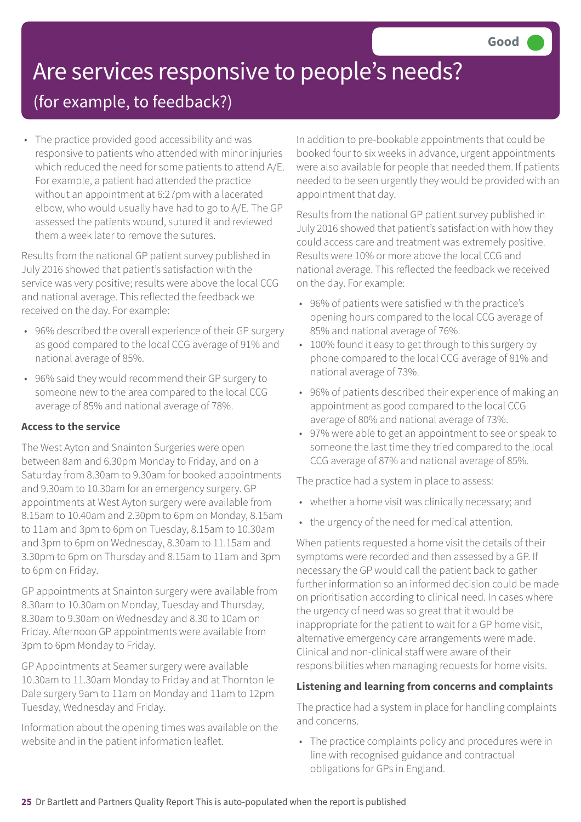# Are services responsive to people's needs?

### (for example, to feedback?)

• The practice provided good accessibility and was responsive to patients who attended with minor injuries which reduced the need for some patients to attend A/E. For example, a patient had attended the practice without an appointment at 6:27pm with a lacerated elbow, who would usually have had to go to A/E. The GP assessed the patients wound, sutured it and reviewed them a week later to remove the sutures.

Results from the national GP patient survey published in July 2016 showed that patient's satisfaction with the service was very positive; results were above the local CCG and national average. This reflected the feedback we received on the day. For example:

- 96% described the overall experience of their GP surgery as good compared to the local CCG average of 91% and national average of 85%.
- 96% said they would recommend their GP surgery to someone new to the area compared to the local CCG average of 85% and national average of 78%.

### **Access to the service**

The West Ayton and Snainton Surgeries were open between 8am and 6.30pm Monday to Friday, and on a Saturday from 8.30am to 9.30am for booked appointments and 9.30am to 10.30am for an emergency surgery. GP appointments at West Ayton surgery were available from 8.15am to 10.40am and 2.30pm to 6pm on Monday, 8.15am to 11am and 3pm to 6pm on Tuesday, 8.15am to 10.30am and 3pm to 6pm on Wednesday, 8.30am to 11.15am and 3.30pm to 6pm on Thursday and 8.15am to 11am and 3pm to 6pm on Friday.

GP appointments at Snainton surgery were available from 8.30am to 10.30am on Monday, Tuesday and Thursday, 8.30am to 9.30am on Wednesday and 8.30 to 10am on Friday. Afternoon GP appointments were available from 3pm to 6pm Monday to Friday.

GP Appointments at Seamer surgery were available 10.30am to 11.30am Monday to Friday and at Thornton le Dale surgery 9am to 11am on Monday and 11am to 12pm Tuesday, Wednesday and Friday.

Information about the opening times was available on the website and in the patient information leaflet.

In addition to pre-bookable appointments that could be booked four to six weeks in advance, urgent appointments were also available for people that needed them. If patients needed to be seen urgently they would be provided with an appointment that day.

Results from the national GP patient survey published in July 2016 showed that patient's satisfaction with how they could access care and treatment was extremely positive. Results were 10% or more above the local CCG and national average. This reflected the feedback we received on the day. For example:

- 96% of patients were satisfied with the practice's opening hours compared to the local CCG average of 85% and national average of 76%.
- 100% found it easy to get through to this surgery by phone compared to the local CCG average of 81% and national average of 73%.
- 96% of patients described their experience of making an appointment as good compared to the local CCG average of 80% and national average of 73%.
- 97% were able to get an appointment to see or speak to someone the last time they tried compared to the local CCG average of 87% and national average of 85%.

The practice had a system in place to assess:

- whether a home visit was clinically necessary; and
- the urgency of the need for medical attention.

When patients requested a home visit the details of their symptoms were recorded and then assessed by a GP. If necessary the GP would call the patient back to gather further information so an informed decision could be made on prioritisation according to clinical need. In cases where the urgency of need was so great that it would be inappropriate for the patient to wait for a GP home visit, alternative emergency care arrangements were made. Clinical and non-clinical staff were aware of their responsibilities when managing requests for home visits.

### **Listening and learning from concerns and complaints**

The practice had a system in place for handling complaints and concerns.

• The practice complaints policy and procedures were in line with recognised guidance and contractual obligations for GPs in England.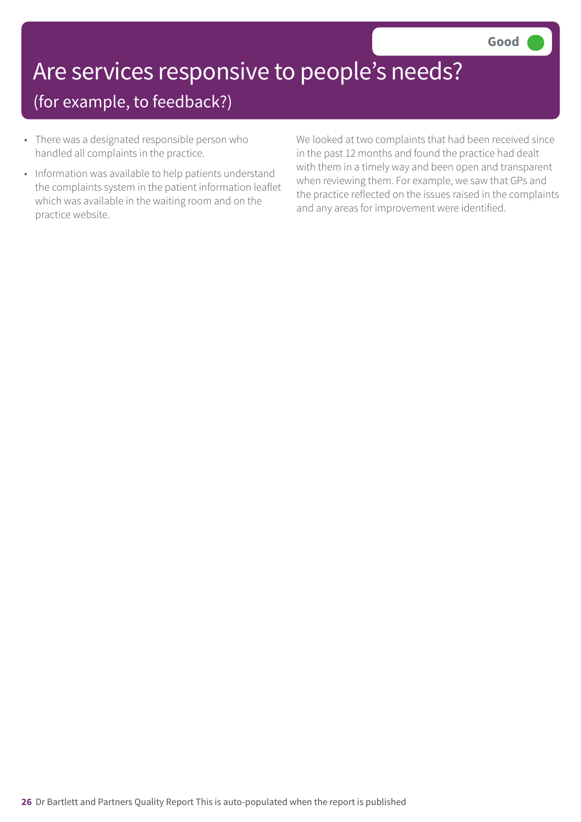# Are services responsive to people's needs?

### (for example, to feedback?)

- There was a designated responsible person who handled all complaints in the practice.
- Information was available to help patients understand the complaints system in the patient information leaflet which was available in the waiting room and on the practice website.

We looked at two complaints that had been received since in the past 12 months and found the practice had dealt with them in a timely way and been open and transparent when reviewing them. For example, we saw that GPs and the practice reflected on the issues raised in the complaints and any areas for improvement were identified.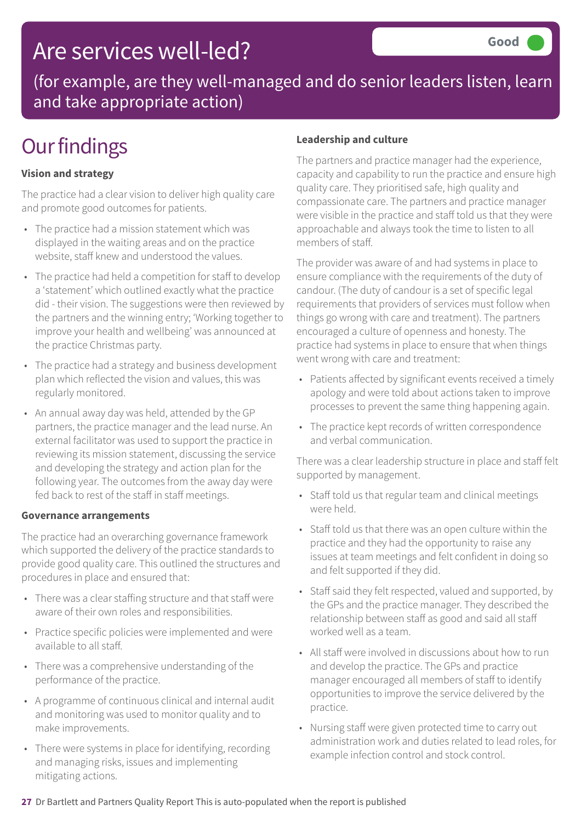### Are services well-led?

(for example, are they well-managed and do senior leaders listen, learn and take appropriate action)

# **Our findings**

### **Vision and strategy**

The practice had a clear vision to deliver high quality care and promote good outcomes for patients.

- The practice had a mission statement which was displayed in the waiting areas and on the practice website, staff knew and understood the values.
- The practice had held a competition for staff to develop a 'statement' which outlined exactly what the practice did - their vision. The suggestions were then reviewed by the partners and the winning entry; 'Working together to improve your health and wellbeing' was announced at the practice Christmas party.
- The practice had a strategy and business development plan which reflected the vision and values, this was regularly monitored.
- An annual away day was held, attended by the GP partners, the practice manager and the lead nurse. An external facilitator was used to support the practice in reviewing its mission statement, discussing the service and developing the strategy and action plan for the following year. The outcomes from the away day were fed back to rest of the staff in staff meetings.

#### **Governance arrangements**

The practice had an overarching governance framework which supported the delivery of the practice standards to provide good quality care. This outlined the structures and procedures in place and ensured that:

- There was a clear staffing structure and that staff were aware of their own roles and responsibilities.
- Practice specific policies were implemented and were available to all staff.
- There was a comprehensive understanding of the performance of the practice.
- A programme of continuous clinical and internal audit and monitoring was used to monitor quality and to make improvements.
- There were systems in place for identifying, recording and managing risks, issues and implementing mitigating actions.

#### **Leadership and culture**

The partners and practice manager had the experience, capacity and capability to run the practice and ensure high quality care. They prioritised safe, high quality and compassionate care. The partners and practice manager were visible in the practice and staff told us that they were approachable and always took the time to listen to all members of staff.

The provider was aware of and had systems in place to ensure compliance with the requirements of the duty of candour. (The duty of candour is a set of specific legal requirements that providers of services must follow when things go wrong with care and treatment). The partners encouraged a culture of openness and honesty. The practice had systems in place to ensure that when things went wrong with care and treatment:

- Patients affected by significant events received a timely apology and were told about actions taken to improve processes to prevent the same thing happening again.
- The practice kept records of written correspondence and verbal communication.

There was a clear leadership structure in place and staff felt supported by management.

- Staff told us that regular team and clinical meetings were held.
- Staff told us that there was an open culture within the practice and they had the opportunity to raise any issues at team meetings and felt confident in doing so and felt supported if they did.
- Staff said they felt respected, valued and supported, by the GPs and the practice manager. They described the relationship between staff as good and said all staff worked well as a team.
- All staff were involved in discussions about how to run and develop the practice. The GPs and practice manager encouraged all members of staff to identify opportunities to improve the service delivered by the practice.
- Nursing staff were given protected time to carry out administration work and duties related to lead roles, for example infection control and stock control.